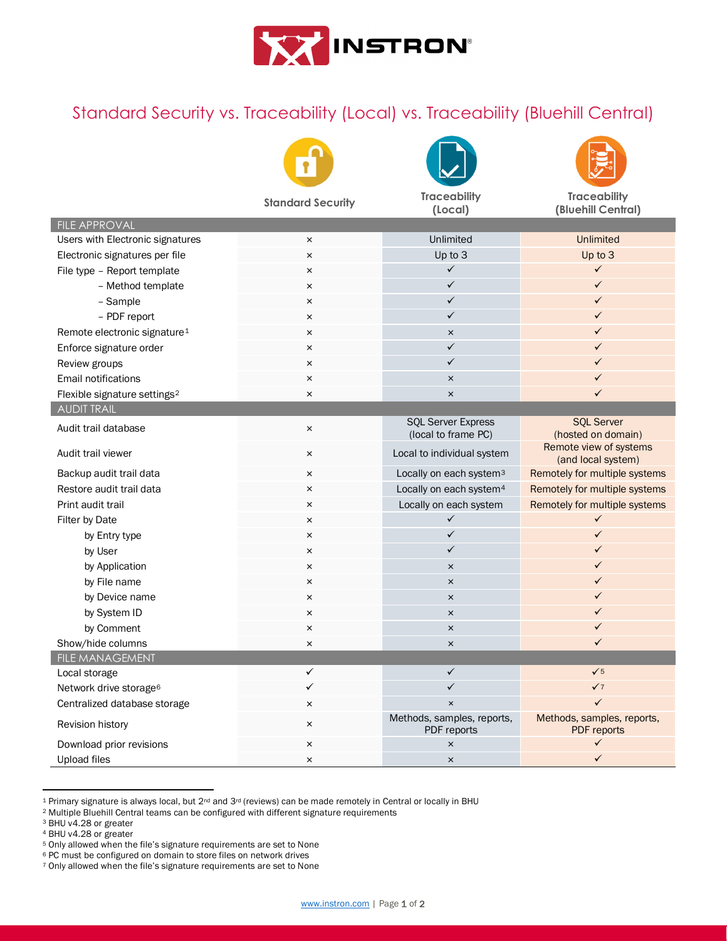

## Standard Security vs. Traceability (Local) vs. Traceability (Bluehill Central)







**Standard Security Traceability (Local) Traceability (Bluehill Central)** FILE APPROVAL Users with Electronic signatures **X** All 2001 **CONFIDENT CONFIDENT** Unlimited Unlimited Unlimited Electronic signatures per file  $\times$  Up to 3 Up to 3 Up to 3 File type – Report template and the set of the set of the set of the set of the set of the set of the set of the set of the set of the set of the set of the set of the set of the set of the set of the set of the set of th – Method template and service and service and service and service and service and service and service and service and service and service and service and service and service and service and service and service and service – Sample  $\overline{\phantom{a}}$  and  $\overline{\phantom{a}}$  are  $\overline{\phantom{a}}$  and  $\overline{\phantom{a}}$  and  $\overline{\phantom{a}}$  and  $\overline{\phantom{a}}$  and  $\overline{\phantom{a}}$  and  $\overline{\phantom{a}}$  and  $\overline{\phantom{a}}$  and  $\overline{\phantom{a}}$  and  $\overline{\phantom{a}}$  and  $\overline{\phantom{a}}$  and  $\overline{\phantom{a}}$  and  $\overline$ – PDF report  $\times$   $\times$ Remote electronic signature<sup>[1](#page-0-0)</sup> and the set of the set of the set of the set of the set of the set of the set of the set of the set of the set of the set of the set of the set of the set of the set of the set of the set of Enforce signature order  $\overline{\phantom{a}}$  ×  $\overline{\phantom{a}}$  ×  $\overline{\phantom{a}}$  ×  $\overline{\phantom{a}}$  ×  $\overline{\phantom{a}}$  ×  $\overline{\phantom{a}}$  ×  $\overline{\phantom{a}}$  ×  $\overline{\phantom{a}}$  ×  $\overline{\phantom{a}}$  ×  $\overline{\phantom{a}}$  ×  $\overline{\phantom{a}}$  ×  $\overline{\phantom{a}}$  ×  $\overline{\phantom{a}}$  ×  $\overline{\phantom{a}}$  × Review groups  $\overline{\phantom{a}}$  and  $\overline{\phantom{a}}$  are  $\overline{\phantom{a}}$  and  $\overline{\phantom{a}}$  and  $\overline{\phantom{a}}$  and  $\overline{\phantom{a}}$  and  $\overline{\phantom{a}}$  and  $\overline{\phantom{a}}$  and  $\overline{\phantom{a}}$  and  $\overline{\phantom{a}}$  and  $\overline{\phantom{a}}$  and  $\overline{\phantom{a}}$  and  $\overline{\phantom{a}}$  and Email notifications × × Flexible signature settings[2](#page-0-1) × × AUDIT TRAIL Audit trail database **X** SQL Server Express (local to frame PC) SQL Server (hosted on domain) Audit trail viewer **Exercise 2018** Audit trail viewer **Exercise 2019** Audit trail viewer **Remote view of systems** (and local system) Backup audit trail data **x** All and the system is expected to cally on each system<sup>[3](#page-0-2)</sup> Remotely for multiple systems Restore audit trail data **Exercise 2 Conserverse Conserverse Conserverse Conserverse Conserverse Conserverse Conserverse Conserverse Conserverse Conserverse Conserverse Conserverse Conserverse Conserverse Conserverse Conse** Print audit trail **Example 3 and Structure 1** Locally on each system Remotely for multiple systems Filter by Date  $\overline{\phantom{a}}$ by Entry type  $\times$ by User  $\overline{\phantom{a}}$ by Application **x**  $\times$  **x**  $\times$   $\times$   $\times$   $\times$   $\times$   $\times$ by File name  $\overline{a}$  and  $\overline{b}$  are  $\overline{b}$  and  $\overline{b}$  are  $\overline{b}$  and  $\overline{b}$  and  $\overline{b}$  are  $\overline{b}$  and  $\overline{b}$  and  $\overline{b}$  and  $\overline{b}$  are  $\overline{b}$  and  $\overline{b}$  and  $\overline{b}$  and  $\overline{b}$  and  $\overline{b}$  and by Device name  $\overline{\phantom{a}}$   $\overline{\phantom{a}}$   $\overline{\phantom{a}}$   $\overline{\phantom{a}}$   $\overline{\phantom{a}}$   $\overline{\phantom{a}}$   $\overline{\phantom{a}}$   $\overline{\phantom{a}}$   $\overline{\phantom{a}}$   $\overline{\phantom{a}}$   $\overline{\phantom{a}}$   $\overline{\phantom{a}}$   $\overline{\phantom{a}}$   $\overline{\phantom{a}}$   $\overline{\phantom{a}}$   $\overline{\phantom{a}}$   $\overline{\phantom{a}}$   $\over$ by System ID  $\overline{\phantom{a}}$   $\overline{\phantom{a}}$   $\overline{\phantom{a}}$   $\overline{\phantom{a}}$   $\overline{\phantom{a}}$   $\overline{\phantom{a}}$   $\overline{\phantom{a}}$   $\overline{\phantom{a}}$   $\overline{\phantom{a}}$   $\overline{\phantom{a}}$   $\overline{\phantom{a}}$   $\overline{\phantom{a}}$   $\overline{\phantom{a}}$   $\overline{\phantom{a}}$   $\overline{\phantom{a}}$   $\overline{\phantom{a}}$   $\overline{\phantom{a}}$   $\overline$  by Comment × × Show/hide columns  $\times$   $\times$   $\times$   $\times$   $\times$   $\times$ FILE MANAGEMENT Local storage  $\checkmark$ Network drive storage[6](#page-0-5)  $\checkmark$  and  $\checkmark$  and  $\checkmark$  and  $\checkmark$  and  $\checkmark$  and  $\checkmark$  and  $\checkmark$  and  $\checkmark$  and  $\checkmark$  and  $\checkmark$  and  $\checkmark$  and  $\checkmark$  and  $\checkmark$  and  $\checkmark$  and  $\checkmark$  and  $\checkmark$  and  $\checkmark$  and  $\checkmark$  and  $\checkmark$  and  $\checkmark$  an

Centralized database storage  $\times$   $\times$ Revision history **Exercise 2018** X Methods, samples, reports, PDF reports Methods, samples, reports, PDF reports Download prior revisions and the set of the set of the set of the set of the set of the set of the set of the set of the set of the set of the set of the set of the set of the set of the set of the set of the set of the s Upload files  $\overline{\phantom{a}}$   $\overline{\phantom{a}}$   $\overline{\phantom{a}}$   $\overline{\phantom{a}}$   $\overline{\phantom{a}}$   $\overline{\phantom{a}}$   $\overline{\phantom{a}}$   $\overline{\phantom{a}}$   $\overline{\phantom{a}}$   $\overline{\phantom{a}}$   $\overline{\phantom{a}}$   $\overline{\phantom{a}}$   $\overline{\phantom{a}}$   $\overline{\phantom{a}}$   $\overline{\phantom{a}}$   $\overline{\phantom{a}}$   $\overline{\phantom{a}}$   $\overline$ 

<span id="page-0-0"></span><sup>1</sup> Primary signature is always local, but 2<sup>nd</sup> and 3<sup>rd</sup> (reviews) can be made remotely in Central or locally in BHU

<span id="page-0-2"></span><span id="page-0-1"></span><sup>&</sup>lt;sup>2</sup> Multiple Bluehill Central teams can be configured with different signature requirements <sup>3</sup> BHU v4.28 or greater

<span id="page-0-3"></span><sup>4</sup> BHU v4.28 or greater

<span id="page-0-4"></span><sup>5</sup> Only allowed when the file's signature requirements are set to None

<span id="page-0-5"></span><sup>6</sup> PC must be configured on domain to store files on network drives

<span id="page-0-6"></span><sup>7</sup> Only allowed when the file's signature requirements are set to None